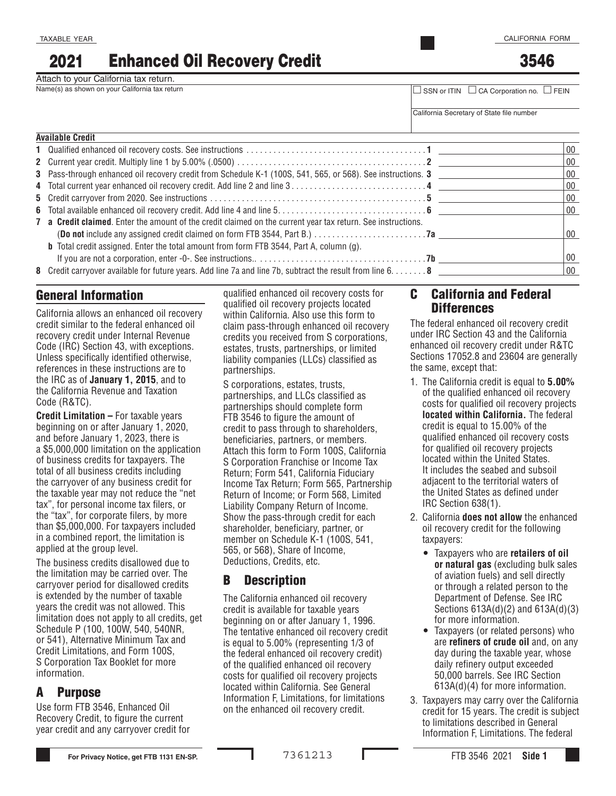3546

# 2021 Enhanced Oil Recovery Credit

Attach to your California tax return.<br>Name(s) as shown on your California tax return

Name(s) as shown on your California tax return □ SSN or ITIN □ CA Corporation no. □ FEIN

California Secretary of State file number

| <b>Available Credit</b>                                                                                      |  |        |
|--------------------------------------------------------------------------------------------------------------|--|--------|
|                                                                                                              |  | $00\,$ |
|                                                                                                              |  | $00\,$ |
|                                                                                                              |  | $00\,$ |
|                                                                                                              |  | $00\,$ |
|                                                                                                              |  | 00     |
|                                                                                                              |  | $00\,$ |
| 7 a Credit claimed. Enter the amount of the credit claimed on the current year tax return. See instructions. |  |        |
|                                                                                                              |  | $00\,$ |
| <b>b</b> Total credit assigned. Enter the total amount from form FTB 3544, Part A, column (g).               |  |        |
|                                                                                                              |  | $00\,$ |
| 8 Credit carryover available for future years. Add line 7a and line 7b, subtract the result from line 6. 8   |  | $00\,$ |

### General Information

California allows an enhanced oil recovery credit similar to the federal enhanced oil recovery credit under Internal Revenue Code (IRC) Section 43, with exceptions. Unless specifically identified otherwise, references in these instructions are to the IRC as of **January 1, 2015**, and to the California Revenue and Taxation Code (R&TC).

**Credit Limitation –** For taxable years beginning on or after January 1, 2020, and before January 1, 2023, there is a \$5,000,000 limitation on the application of business credits for taxpayers. The total of all business credits including the carryover of any business credit for the taxable year may not reduce the "net tax", for personal income tax filers, or the "tax", for corporate filers, by more than \$5,000,000. For taxpayers included in a combined report, the limitation is applied at the group level.

The business credits disallowed due to the limitation may be carried over. The carryover period for disallowed credits is extended by the number of taxable years the credit was not allowed. This limitation does not apply to all credits, get Schedule P (100, 100W, 540, 540NR, or 541), Alternative Minimum Tax and Credit Limitations, and Form 100S, S Corporation Tax Booklet for more information.

### A Purpose

Use form FTB 3546, Enhanced Oil Recovery Credit, to figure the current year credit and any carryover credit for qualified enhanced oil recovery costs for qualified oil recovery projects located within California. Also use this form to claim pass-through enhanced oil recovery credits you received from S corporations, estates, trusts, partnerships, or limited liability companies (LLCs) classified as partnerships.

 member on Schedule K-1 (100S, 541, S corporations, estates, trusts, partnerships, and LLCs classified as partnerships should complete form FTB 3546 to figure the amount of credit to pass through to shareholders, beneficiaries, partners, or members. Attach this form to Form 100S, California S Corporation Franchise or Income Tax Return; Form 541, California Fiduciary Income Tax Return; Form 565, Partnership Return of Income; or Form 568, Limited Liability Company Return of Income. Show the pass-through credit for each shareholder, beneficiary, partner, or 565, or 568), Share of Income, Deductions, Credits, etc.

### B Description

The California enhanced oil recovery credit is available for taxable years beginning on or after January 1, 1996. The tentative enhanced oil recovery credit is equal to 5.00% (representing 1/3 of the federal enhanced oil recovery credit) of the qualified enhanced oil recovery costs for qualified oil recovery projects located within California. See General Information F, Limitations, for limitations on the enhanced oil recovery credit.

### C California and Federal **Differences**

The federal enhanced oil recovery credit under IRC Section 43 and the California enhanced oil recovery credit under R&TC Sections 17052.8 and 23604 are generally the same, except that:

- 1. The California credit is equal to **5.00%**  of the qualified enhanced oil recovery costs for qualified oil recovery projects **located within California.** The federal credit is equal to 15.00% of the qualified enhanced oil recovery costs for qualified oil recovery projects located within the United States. It includes the seabed and subsoil adjacent to the territorial waters of the United States as defined under IRC Section 638(1).
- 2. California **does not allow** the enhanced oil recovery credit for the following taxpayers:
	- Taxpayers who are **retailers of oil or natural gas** (excluding bulk sales of aviation fuels) and sell directly or through a related person to the Department of Defense. See IRC Sections 613A(d)(2) and 613A(d)(3) for more information.
	- Taxpayers (or related persons) who are **refiners of crude oil** and, on any day during the taxable year, whose daily refinery output exceeded 50,000 barrels. See IRC Section 613A(d)(4) for more information.
- 3. Taxpayers may carry over the California credit for 15 years. The credit is subject to limitations described in General Information F, Limitations. The federal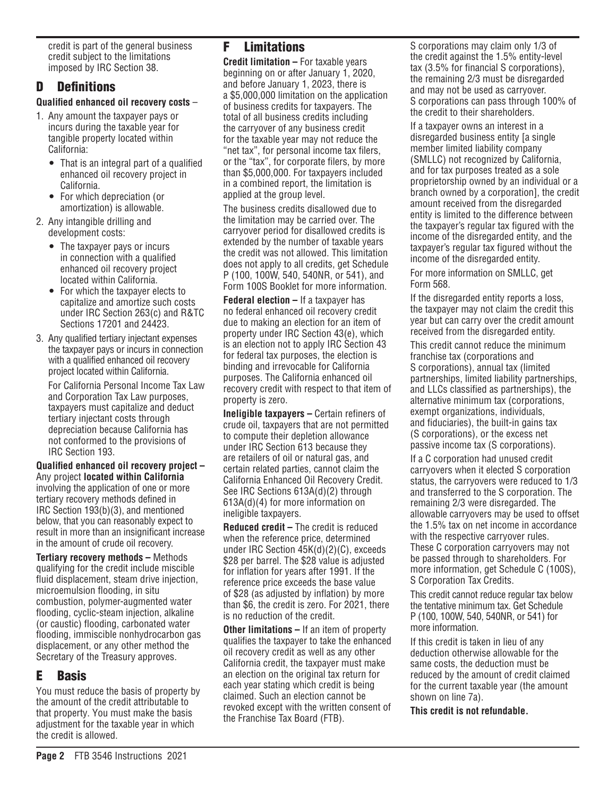credit is part of the general business credit subject to the limitations imposed by IRC Section 38.

## D Definitions

#### **Qualified enhanced oil recovery costs** –

- 1. Any amount the taxpayer pays or incurs during the taxable year for tangible property located within California:
	- That is an integral part of a qualified enhanced oil recovery project in California.
	- For which depreciation (or amortization) is allowable.
- 2. Any intangible drilling and development costs:
	- The taxpayer pays or incurs in connection with a qualified enhanced oil recovery project located within California.
	- For which the taxpayer elects to capitalize and amortize such costs under IRC Section 263(c) and R&TC Sections 17201 and 24423.
- 3. Any qualified tertiary injectant expenses the taxpayer pays or incurs in connection with a qualified enhanced oil recovery project located within California.

For California Personal Income Tax Law and Corporation Tax Law purposes, taxpayers must capitalize and deduct tertiary injectant costs through depreciation because California has not conformed to the provisions of IRC Section 193.

**Qualified enhanced oil recovery project –**  Any project **located within California**  involving the application of one or more tertiary recovery methods defined in IRC Section 193(b)(3), and mentioned below, that you can reasonably expect to result in more than an insignificant increase in the amount of crude oil recovery.

**Tertiary recovery methods –** Methods qualifying for the credit include miscible fluid displacement, steam drive injection, microemulsion flooding, in situ combustion, polymer-augmented water flooding, cyclic-steam injection, alkaline (or caustic) flooding, carbonated water flooding, immiscible nonhydrocarbon gas displacement, or any other method the Secretary of the Treasury approves.

# E Basis

You must reduce the basis of property by the amount of the credit attributable to that property. You must make the basis adjustment for the taxable year in which the credit is allowed.

# F Limitations

**Credit limitation –** For taxable years beginning on or after January 1, 2020, and before January 1, 2023, there is a \$5,000,000 limitation on the application of business credits for taxpayers. The total of all business credits including the carryover of any business credit for the taxable year may not reduce the "net tax", for personal income tax filers, or the "tax", for corporate filers, by more than \$5,000,000. For taxpayers included in a combined report, the limitation is applied at the group level.

The business credits disallowed due to the limitation may be carried over. The carryover period for disallowed credits is extended by the number of taxable years the credit was not allowed. This limitation does not apply to all credits, get Schedule P (100, 100W, 540, 540NR, or 541), and Form 100S Booklet for more information.

**Federal election –** If a taxpayer has no federal enhanced oil recovery credit due to making an election for an item of property under IRC Section 43(e), which is an election not to apply IRC Section 43 for federal tax purposes, the election is binding and irrevocable for California purposes. The California enhanced oil recovery credit with respect to that item of property is zero.

**Ineligible taxpayers –** Certain refiners of crude oil, taxpayers that are not permitted to compute their depletion allowance under IRC Section 613 because they are retailers of oil or natural gas, and certain related parties, cannot claim the California Enhanced Oil Recovery Credit. See IRC Sections 613A(d)(2) through 613A(d)(4) for more information on ineligible taxpayers.

**Reduced credit –** The credit is reduced when the reference price, determined under IRC Section 45K(d)(2)(C), exceeds \$28 per barrel. The \$28 value is adjusted for inflation for years after 1991. If the reference price exceeds the base value of \$28 (as adjusted by inflation) by more than \$6, the credit is zero. For 2021, there is no reduction of the credit.

**Other limitations –** If an item of property qualifies the taxpayer to take the enhanced oil recovery credit as well as any other California credit, the taxpayer must make an election on the original tax return for each year stating which credit is being claimed. Such an election cannot be revoked except with the written consent of the Franchise Tax Board (FTB).

S corporations may claim only 1/3 of the credit against the 1.5% entity-level tax (3.5% for financial S corporations), the remaining 2/3 must be disregarded and may not be used as carryover. S corporations can pass through 100% of the credit to their shareholders.

If a taxpayer owns an interest in a disregarded business entity [a single member limited liability company (SMLLC) not recognized by California, and for tax purposes treated as a sole proprietorship owned by an individual or a branch owned by a corporation], the credit amount received from the disregarded entity is limited to the difference between the taxpayer's regular tax figured with the income of the disregarded entity, and the taxpayer's regular tax figured without the income of the disregarded entity.

For more information on SMLLC, get Form 568.

If the disregarded entity reports a loss, the taxpayer may not claim the credit this year but can carry over the credit amount received from the disregarded entity.

This credit cannot reduce the minimum franchise tax (corporations and S corporations), annual tax (limited partnerships, limited liability partnerships, and LLCs classified as partnerships), the alternative minimum tax (corporations, exempt organizations, individuals, and fiduciaries), the built-in gains tax (S corporations), or the excess net passive income tax (S corporations).

If a C corporation had unused credit carryovers when it elected S corporation status, the carryovers were reduced to 1/3 and transferred to the S corporation. The remaining 2/3 were disregarded. The allowable carryovers may be used to offset the 1.5% tax on net income in accordance with the respective carryover rules. These C corporation carryovers may not be passed through to shareholders. For more information, get Schedule C (100S), S Corporation Tax Credits.

This credit cannot reduce regular tax below the tentative minimum tax. Get Schedule P (100, 100W, 540, 540NR, or 541) for more information.

If this credit is taken in lieu of any deduction otherwise allowable for the same costs, the deduction must be reduced by the amount of credit claimed for the current taxable year (the amount shown on line 7a).

#### **This credit is not refundable.**